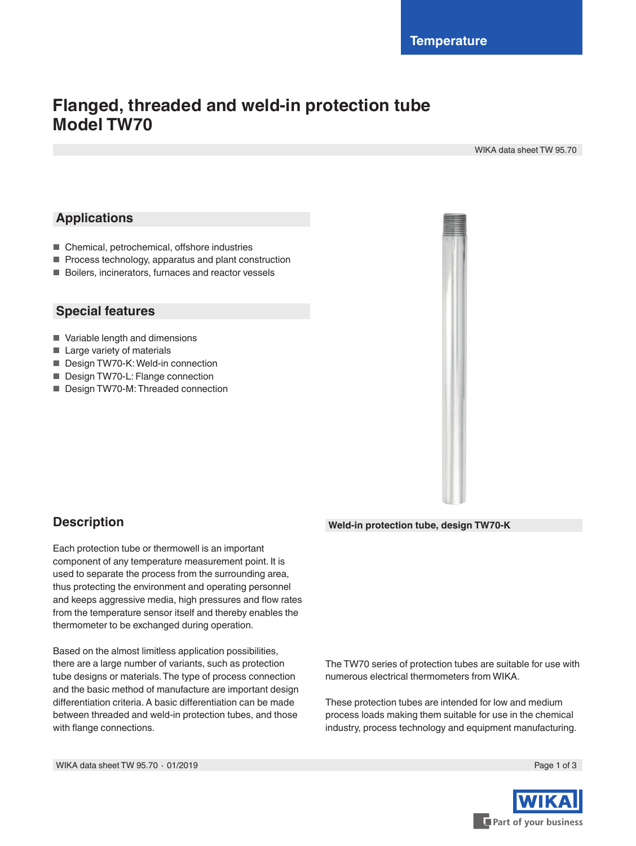# **Flanged, threaded and weld-in protection tube Model TW70**

WIKA data sheet TW 95.70

### **Applications**

- Chemical, petrochemical, offshore industries
- Process technology, apparatus and plant construction
- Boilers, incinerators, furnaces and reactor vessels

### **Special features**

- Variable length and dimensions
- Large variety of materials
- Design TW70-K: Weld-in connection
- Design TW70-L: Flange connection
- Design TW70-M: Threaded connection



### **Description**

Each protection tube or thermowell is an important component of any temperature measurement point. It is used to separate the process from the surrounding area, thus protecting the environment and operating personnel and keeps aggressive media, high pressures and flow rates from the temperature sensor itself and thereby enables the thermometer to be exchanged during operation.

Based on the almost limitless application possibilities, there are a large number of variants, such as protection tube designs or materials. The type of process connection and the basic method of manufacture are important design differentiation criteria. A basic differentiation can be made between threaded and weld-in protection tubes, and those with flange connections.

#### **Weld-in protection tube, design TW70-K**

The TW70 series of protection tubes are suitable for use with numerous electrical thermometers from WIKA.

These protection tubes are intended for low and medium process loads making them suitable for use in the chemical industry, process technology and equipment manufacturing.

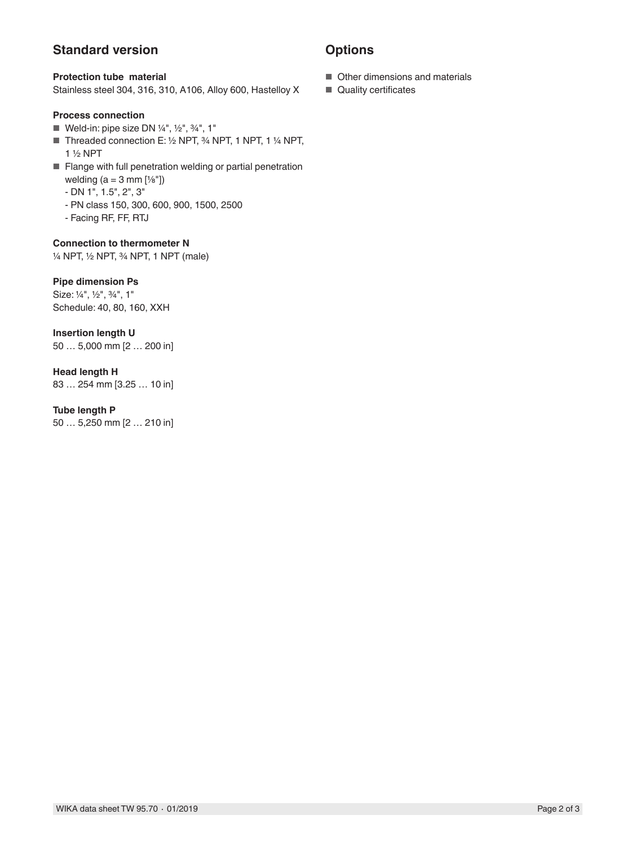### **Standard version**

#### **Protection tube material**

Stainless steel 304, 316, 310, A106, Alloy 600, Hastelloy X

#### **Process connection**

- Weld-in: pipe size DN 1/4", 1/2", 3/4", 1"
- Threaded connection E: 1/2 NPT, 3/4 NPT, 1 NPT, 1 1/4 NPT, 1 ½ NPT
- Flange with full penetration welding or partial penetration welding  $(a = 3$  mm  $[\frac{1}{8}]$ 
	- DN 1", 1.5", 2", 3"
	- PN class 150, 300, 600, 900, 1500, 2500
	- Facing RF, FF, RTJ

#### **Connection to thermometer N**

¼ NPT, ½ NPT, ¾ NPT, 1 NPT (male)

#### **Pipe dimension Ps**

Size: ¼", ½", ¾", 1" Schedule: 40, 80, 160, XXH

## **Insertion length U**

50 … 5,000 mm [2 … 200 in]

#### **Head length H**

83 … 254 mm [3.25 … 10 in]

#### **Tube length P**

50 … 5,250 mm [2 … 210 in]

### **Options**

- Other dimensions and materials
- Quality certificates